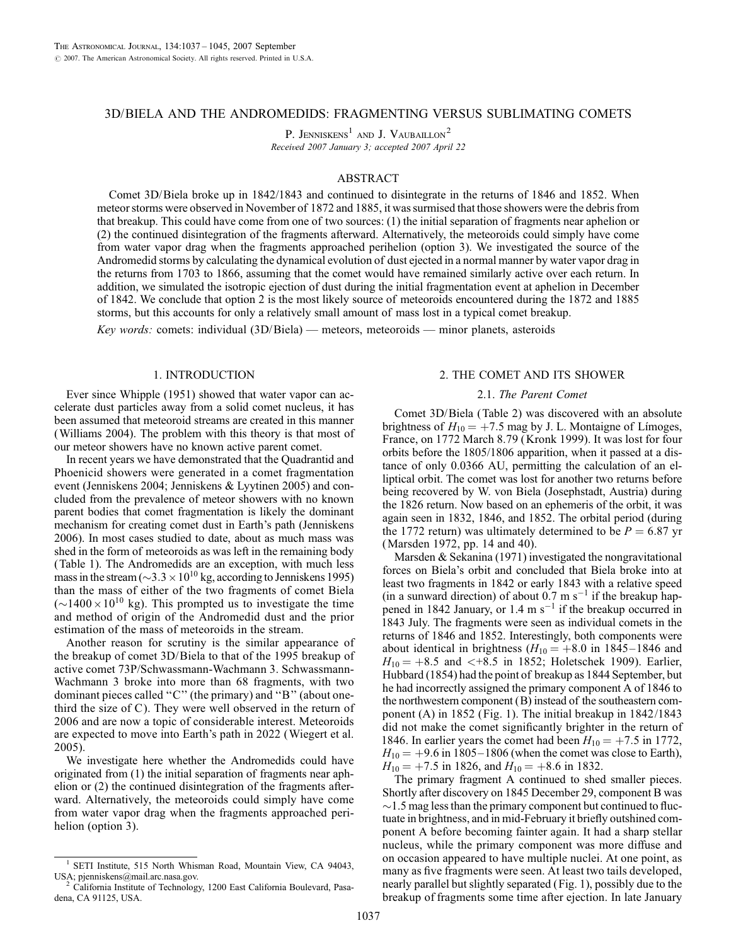# 3D/BIELA AND THE ANDROMEDIDS: FRAGMENTING VERSUS SUBLIMATING COMETS

P. JENNISKENS<sup>1</sup> AND J. VAUBAILLON<sup>2</sup> Received 2007 January 3; accepted 2007 April 22

## ABSTRACT

Comet 3D/Biela broke up in 1842/1843 and continued to disintegrate in the returns of 1846 and 1852. When meteor storms were observed in November of 1872 and 1885, it was surmised that those showers were the debris from that breakup. This could have come from one of two sources: (1) the initial separation of fragments near aphelion or (2) the continued disintegration of the fragments afterward. Alternatively, the meteoroids could simply have come from water vapor drag when the fragments approached perihelion (option 3). We investigated the source of the Andromedid storms by calculating the dynamical evolution of dust ejected in a normal manner by water vapor drag in the returns from 1703 to 1866, assuming that the comet would have remained similarly active over each return. In addition, we simulated the isotropic ejection of dust during the initial fragmentation event at aphelion in December of 1842. We conclude that option 2 is the most likely source of meteoroids encountered during the 1872 and 1885 storms, but this accounts for only a relatively small amount of mass lost in a typical comet breakup.

Key words: comets: individual  $(3D/Biela)$  — meteors, meteoroids — minor planets, asteroids

### 1. INTRODUCTION

Ever since Whipple (1951) showed that water vapor can accelerate dust particles away from a solid comet nucleus, it has been assumed that meteoroid streams are created in this manner (Williams 2004). The problem with this theory is that most of our meteor showers have no known active parent comet.

In recent years we have demonstrated that the Quadrantid and Phoenicid showers were generated in a comet fragmentation event (Jenniskens 2004; Jenniskens & Lyytinen 2005) and concluded from the prevalence of meteor showers with no known parent bodies that comet fragmentation is likely the dominant mechanism for creating comet dust in Earth's path (Jenniskens 2006). In most cases studied to date, about as much mass was shed in the form of meteoroids as was left in the remaining body (Table 1). The Andromedids are an exception, with much less mass in the stream ( $\sim$ 3.3  $\times$  10<sup>10</sup> kg, according to Jenniskens 1995) than the mass of either of the two fragments of comet Biela  $({\sim}1400 \times 10^{10}$  kg). This prompted us to investigate the time and method of origin of the Andromedid dust and the prior estimation of the mass of meteoroids in the stream.

Another reason for scrutiny is the similar appearance of the breakup of comet 3D/Biela to that of the 1995 breakup of active comet 73P/Schwassmann-Wachmann 3. Schwassmann-Wachmann 3 broke into more than 68 fragments, with two dominant pieces called ''C'' (the primary) and ''B'' (about onethird the size of C). They were well observed in the return of 2006 and are now a topic of considerable interest. Meteoroids are expected to move into Earth's path in 2022 (Wiegert et al. 2005).

We investigate here whether the Andromedids could have originated from (1) the initial separation of fragments near aphelion or (2) the continued disintegration of the fragments afterward. Alternatively, the meteoroids could simply have come from water vapor drag when the fragments approached perihelion (option 3).

### 2. THE COMET AND ITS SHOWER

## 2.1. The Parent Comet

Comet 3D/Biela (Table 2) was discovered with an absolute brightness of  $H_{10} = +7.5$  mag by J. L. Montaigne of Limoges, France, on 1772 March 8.79 (Kronk 1999). It was lost for four orbits before the 1805/1806 apparition, when it passed at a distance of only 0.0366 AU, permitting the calculation of an elliptical orbit. The comet was lost for another two returns before being recovered by W. von Biela (Josephstadt, Austria) during the 1826 return. Now based on an ephemeris of the orbit, it was again seen in 1832, 1846, and 1852. The orbital period (during the 1772 return) was ultimately determined to be  $P = 6.87$  yr (Marsden 1972, pp. 14 and 40).

Marsden & Sekanina (1971) investigated the nongravitational forces on Biela's orbit and concluded that Biela broke into at least two fragments in 1842 or early 1843 with a relative speed (in a sunward direction) of about  $0.7 \text{ m s}^{-1}$  if the breakup happened in 1842 January, or 1.4 m  $s^{-1}$  if the breakup occurred in 1843 July. The fragments were seen as individual comets in the returns of 1846 and 1852. Interestingly, both components were about identical in brightness ( $H_{10} = +8.0$  in 1845-1846 and  $H_{10} = +8.5$  and  $\lt +8.5$  in 1852; Holetschek 1909). Earlier, Hubbard (1854) had the point of breakup as 1844 September, but he had incorrectly assigned the primary component A of 1846 to the northwestern component (B) instead of the southeastern component (A) in 1852 (Fig. 1). The initial breakup in 1842/1843 did not make the comet significantly brighter in the return of 1846. In earlier years the comet had been  $H_{10} = +7.5$  in 1772,  $H_{10} = +9.6$  in 1805-1806 (when the comet was close to Earth),  $H_{10} = +7.5$  in 1826, and  $H_{10} = +8.6$  in 1832.

The primary fragment A continued to shed smaller pieces. Shortly after discovery on 1845 December 29, component B was  $\sim$ 1.5 mag less than the primary component but continued to fluctuate in brightness, and in mid-February it briefly outshined component A before becoming fainter again. It had a sharp stellar nucleus, while the primary component was more diffuse and on occasion appeared to have multiple nuclei. At one point, as many as five fragments were seen. At least two tails developed, nearly parallel but slightly separated (Fig. 1), possibly due to the breakup of fragments some time after ejection. In late January

SETI Institute, 515 North Whisman Road, Mountain View, CA 94043, USA; pjenniskens@mail.arc.nasa.gov. <sup>2</sup> California Institute of Technology, 1200 East California Boulevard, Pasa-

dena, CA 91125, USA.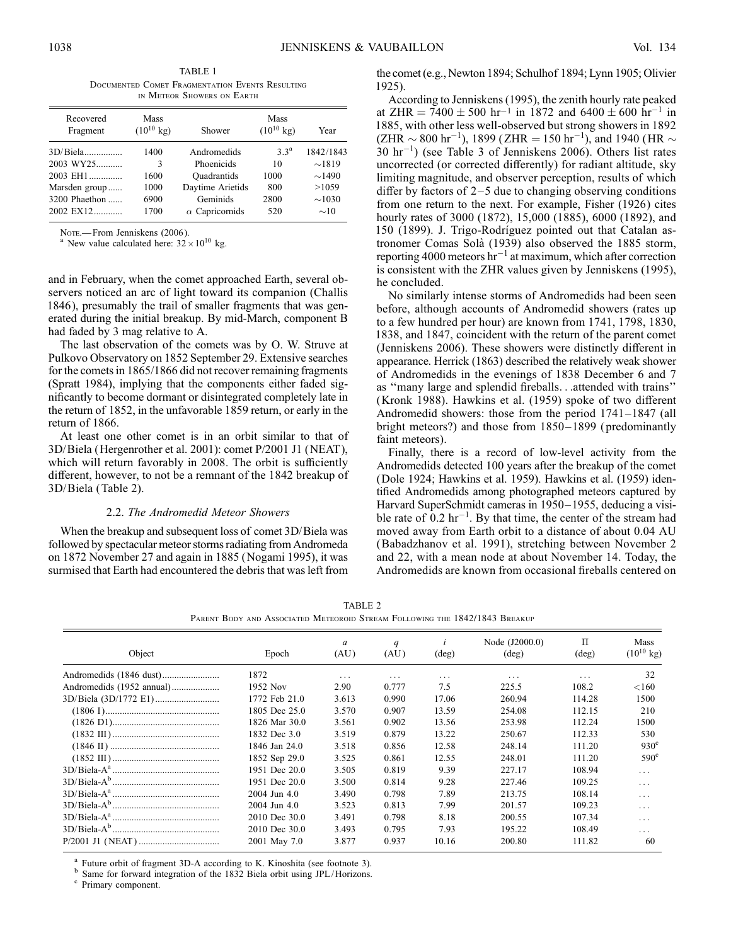TABLE 1 Documented Comet Fragmentation Events Resulting in Meteor Showers on Earth

| Recovered<br>Fragment | Mass<br>$(10^{10} \text{ kg})$ | Shower                | Mass<br>$(10^{10} \text{ kg})$ | Year        |  |
|-----------------------|--------------------------------|-----------------------|--------------------------------|-------------|--|
|                       | 1400                           | Andromedids           | $3^a$                          | 1842/1843   |  |
| $2003 WY25$           | 3                              | Phoenicids            | 10                             | $\sim$ 1819 |  |
| 2003 EH1              | 1600                           | Ouadrantids           | 1000                           | $\sim$ 1490 |  |
| Marsden group         | 1000                           | Daytime Arietids      | 800                            | >10.59      |  |
| 3200 Phaethon         | 6900                           | Geminids              | 2800                           | $\sim$ 1030 |  |
| 2002 EX12             | 1700                           | $\alpha$ Capricornids | 520                            | $\sim 10$   |  |

NOTE.—From Jenniskens (2006).<br><sup>a</sup> New value calculated here:  $32 \times 10^{10}$  kg.

and in February, when the comet approached Earth, several observers noticed an arc of light toward its companion (Challis 1846), presumably the trail of smaller fragments that was generated during the initial breakup. By mid-March, component B had faded by 3 mag relative to A.

The last observation of the comets was by O. W. Struve at Pulkovo Observatory on 1852 September 29. Extensive searches for the comets in 1865/1866 did not recover remaining fragments (Spratt 1984), implying that the components either faded significantly to become dormant or disintegrated completely late in the return of 1852, in the unfavorable 1859 return, or early in the return of 1866.

At least one other comet is in an orbit similar to that of 3D/Biela (Hergenrother et al. 2001): comet P/2001 J1 (NEAT), which will return favorably in 2008. The orbit is sufficiently different, however, to not be a remnant of the 1842 breakup of 3D/Biela (Table 2).

#### 2.2. The Andromedid Meteor Showers

When the breakup and subsequent loss of comet 3D/Biela was followed by spectacular meteor storms radiating from Andromeda on 1872 November 27 and again in 1885 (Nogami 1995), it was surmised that Earth had encountered the debris that was left from

the comet (e.g., Newton 1894; Schulhof 1894; Lynn 1905; Olivier 1925).

According to Jenniskens (1995), the zenith hourly rate peaked at ZHR =  $7400 \pm 500$  hr<sup>-1</sup> in 1872 and  $6400 \pm 600$  hr<sup>-1</sup> in 1885, with other less well-observed but strong showers in 1892 (ZHR  $\sim$  800 hr $^{-1}$ ), 1899 (ZHR = 150 hr $^{-1}$ ), and 1940 (HR  $\sim$  $30 \text{ hr}^{-1}$ ) (see Table 3 of Jenniskens 2006). Others list rates uncorrected (or corrected differently) for radiant altitude, sky limiting magnitude, and observer perception, results of which differ by factors of  $2-5$  due to changing observing conditions from one return to the next. For example, Fisher (1926) cites hourly rates of 3000 (1872), 15,000 (1885), 6000 (1892), and 150 (1899). J. Trigo-Rodríguez pointed out that Catalan astronomer Comas Sola` (1939) also observed the 1885 storm, reporting 4000 meteors  $hr^{-1}$  at maximum, which after correction is consistent with the ZHR values given by Jenniskens (1995), he concluded.

No similarly intense storms of Andromedids had been seen before, although accounts of Andromedid showers (rates up to a few hundred per hour) are known from 1741, 1798, 1830, 1838, and 1847, coincident with the return of the parent comet (Jenniskens 2006). These showers were distinctly different in appearance. Herrick (1863) described the relatively weak shower of Andromedids in the evenings of 1838 December 6 and 7 as ''many large and splendid fireballs...attended with trains'' (Kronk 1988). Hawkins et al. (1959) spoke of two different Andromedid showers: those from the period  $1741-1847$  (all bright meteors?) and those from 1850-1899 (predominantly faint meteors).

Finally, there is a record of low-level activity from the Andromedids detected 100 years after the breakup of the comet (Dole 1924; Hawkins et al. 1959). Hawkins et al. (1959) identified Andromedids among photographed meteors captured by Harvard SuperSchmidt cameras in 1950-1955, deducing a visible rate of  $0.2 \text{ hr}^{-1}$ . By that time, the center of the stream had moved away from Earth orbit to a distance of about 0.04 AU (Babadzhanov et al. 1991), stretching between November 2 and 22, with a mean node at about November 14. Today, the Andromedids are known from occasional fireballs centered on

TABLE 2 Parent Body and Associated Meteoroid Stream Following the 1842/1843 Breakup

| Object                                                                                                                                 | Epoch         | a<br>(AU) | q<br>(AU) | $(\text{deg})$ | Node (J2000.0)<br>$(\text{deg})$ | П<br>$(\text{deg})$ | Mass<br>$(10^{10}$ kg) |
|----------------------------------------------------------------------------------------------------------------------------------------|---------------|-----------|-----------|----------------|----------------------------------|---------------------|------------------------|
|                                                                                                                                        | 1872          | .         | $\cdots$  | .              | $\cdots$                         | .                   | 32                     |
| Andromedids (1952 annual)                                                                                                              | 1952 Nov      | 2.90      | 0.777     | 7.5            | 225.5                            | 108.2               | < 160                  |
|                                                                                                                                        | 1772 Feb 21.0 | 3.613     | 0.990     | 17.06          | 260.94                           | 114.28              | 1500                   |
| $(1806)$ $\ldots$ $\ldots$ $\ldots$ $\ldots$ $\ldots$ $\ldots$ $\ldots$ $\ldots$ $\ldots$ $\ldots$ $\ldots$ $\ldots$ $\ldots$ $\ldots$ | 1805 Dec 25.0 | 3.570     | 0.907     | 13.59          | 254.08                           | 112.15              | 210                    |
|                                                                                                                                        | 1826 Mar 30.0 | 3.561     | 0.902     | 13.56          | 253.98                           | 112.24              | 1500                   |
|                                                                                                                                        | 1832 Dec 3.0  | 3.519     | 0.879     | 13.22          | 250.67                           | 112.33              | 530                    |
|                                                                                                                                        | 1846 Jan 24.0 | 3.518     | 0.856     | 12.58          | 248.14                           | 111.20              | $930^{\circ}$          |
|                                                                                                                                        | 1852 Sep 29.0 | 3.525     | 0.861     | 12.55          | 248.01                           | 111.20              | $590^\circ$            |
|                                                                                                                                        | 1951 Dec 20.0 | 3.505     | 0.819     | 9.39           | 227.17                           | 108.94              | $\cdots$               |
|                                                                                                                                        | 1951 Dec 20.0 | 3.500     | 0.814     | 9.28           | 227.46                           | 109.25              | $\cdots$               |
|                                                                                                                                        | 2004 Jun 4.0  | 3.490     | 0.798     | 7.89           | 213.75                           | 108.14              | $\cdots$               |
|                                                                                                                                        | 2004 Jun 4.0  | 3.523     | 0.813     | 7.99           | 201.57                           | 109.23              | $\cdots$               |
|                                                                                                                                        | 2010 Dec 30.0 | 3.491     | 0.798     | 8.18           | 200.55                           | 107.34              | $\cdots$               |
|                                                                                                                                        | 2010 Dec 30.0 | 3.493     | 0.795     | 7.93           | 195.22                           | 108.49              | $\cdots$               |
|                                                                                                                                        | 2001 May 7.0  | 3.877     | 0.937     | 10.16          | 200.80                           | 111.82              | 60                     |
|                                                                                                                                        |               |           |           |                |                                  |                     |                        |

a Future orbit of fragment 3D-A according to K. Kinoshita (see footnote 3).<br>b Same for forward integration of the 1832 Biela orbit using JPL/Horizons. c Primary component.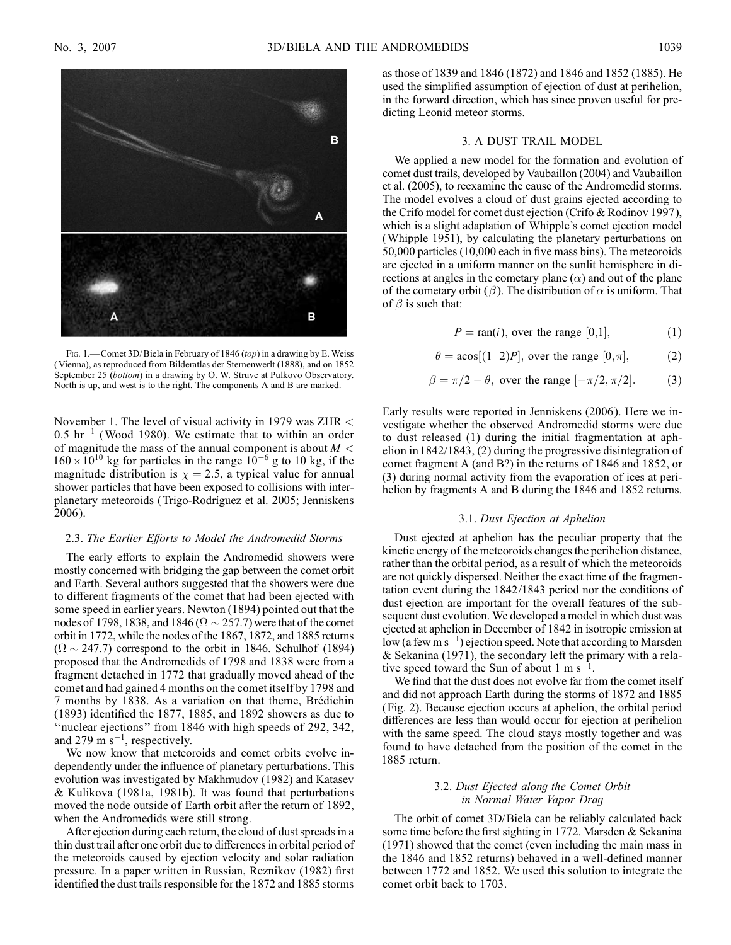

FIG. 1. - Comet 3D/Biela in February of 1846 (top) in a drawing by E. Weiss ( Vienna), as reproduced from Bilderatlas der Sternenwerlt (1888), and on 1852 September 25 (bottom) in a drawing by O. W. Struve at Pulkovo Observatory. North is up, and west is to the right. The components A and B are marked.

November 1. The level of visual activity in 1979 was ZHR <  $0.5$  hr<sup>-1</sup> (Wood 1980). We estimate that to within an order of magnitude the mass of the annual component is about  $M <$  $160 \times 10^{10}$  kg for particles in the range  $10^{-6}$  g to 10 kg, if the magnitude distribution is  $\chi = 2.5$ , a typical value for annual shower particles that have been exposed to collisions with interplanetary meteoroids (Trigo-Rodrı´guez et al. 2005; Jenniskens 2006).

### 2.3. The Earlier Efforts to Model the Andromedid Storms

The early efforts to explain the Andromedid showers were mostly concerned with bridging the gap between the comet orbit and Earth. Several authors suggested that the showers were due to different fragments of the comet that had been ejected with some speed in earlier years. Newton (1894) pointed out that the nodes of 1798, 1838, and 1846 ( $\Omega \sim$  257.7) were that of the comet orbit in 1772, while the nodes of the 1867, 1872, and 1885 returns  $(\Omega \sim 247.7)$  correspond to the orbit in 1846. Schulhof (1894) proposed that the Andromedids of 1798 and 1838 were from a fragment detached in 1772 that gradually moved ahead of the comet and had gained 4 months on the comet itself by 1798 and 7 months by 1838. As a variation on that theme, Brédichin (1893) identified the 1877, 1885, and 1892 showers as due to ''nuclear ejections'' from 1846 with high speeds of 292, 342, and 279 m  $s^{-1}$ , respectively.

We now know that meteoroids and comet orbits evolve independently under the influence of planetary perturbations. This evolution was investigated by Makhmudov (1982) and Katasev & Kulikova (1981a, 1981b). It was found that perturbations moved the node outside of Earth orbit after the return of 1892, when the Andromedids were still strong.

After ejection during each return, the cloud of dust spreads in a thin dust trail after one orbit due to differences in orbital period of the meteoroids caused by ejection velocity and solar radiation pressure. In a paper written in Russian, Reznikov (1982) first identified the dust trails responsible for the 1872 and 1885 storms as those of 1839 and 1846 (1872) and 1846 and 1852 (1885). He used the simplified assumption of ejection of dust at perihelion, in the forward direction, which has since proven useful for predicting Leonid meteor storms.

#### 3. A DUST TRAIL MODEL

We applied a new model for the formation and evolution of comet dust trails, developed by Vaubaillon (2004) and Vaubaillon et al. (2005), to reexamine the cause of the Andromedid storms. The model evolves a cloud of dust grains ejected according to the Crifo model for comet dust ejection (Crifo & Rodinov 1997), which is a slight adaptation of Whipple's comet ejection model (Whipple 1951), by calculating the planetary perturbations on 50,000 particles (10,000 each in five mass bins). The meteoroids are ejected in a uniform manner on the sunlit hemisphere in directions at angles in the cometary plane  $(\alpha)$  and out of the plane of the cometary orbit ( $\beta$ ). The distribution of  $\alpha$  is uniform. That of  $\beta$  is such that:

$$
P = \text{ran}(i), \text{ over the range } [0,1], \tag{1}
$$

$$
\theta = a\cos[(1-2)P], \text{ over the range } [0, \pi], \tag{2}
$$

$$
\beta = \pi/2 - \theta
$$
, over the range  $[-\pi/2, \pi/2]$ . (3)

Early results were reported in Jenniskens (2006). Here we investigate whether the observed Andromedid storms were due to dust released (1) during the initial fragmentation at aphelion in 1842/1843, (2) during the progressive disintegration of comet fragment A (and B?) in the returns of 1846 and 1852, or (3) during normal activity from the evaporation of ices at perihelion by fragments A and B during the 1846 and 1852 returns.

#### 3.1. Dust Ejection at Aphelion

Dust ejected at aphelion has the peculiar property that the kinetic energy of the meteoroids changes the perihelion distance, rather than the orbital period, as a result of which the meteoroids are not quickly dispersed. Neither the exact time of the fragmentation event during the 1842/1843 period nor the conditions of dust ejection are important for the overall features of the subsequent dust evolution. We developed a model in which dust was ejected at aphelion in December of 1842 in isotropic emission at low (a few  $\text{m s}^{-1}$ ) ejection speed. Note that according to Marsden & Sekanina (1971), the secondary left the primary with a relative speed toward the Sun of about  $1 \text{ m s}^{-1}$ .

We find that the dust does not evolve far from the comet itself and did not approach Earth during the storms of 1872 and 1885 (Fig. 2). Because ejection occurs at aphelion, the orbital period differences are less than would occur for ejection at perihelion with the same speed. The cloud stays mostly together and was found to have detached from the position of the comet in the 1885 return.

### 3.2. Dust Ejected along the Comet Orbit in Normal Water Vapor Drag

The orbit of comet 3D/Biela can be reliably calculated back some time before the first sighting in 1772. Marsden & Sekanina (1971) showed that the comet (even including the main mass in the 1846 and 1852 returns) behaved in a well-defined manner between 1772 and 1852. We used this solution to integrate the comet orbit back to 1703.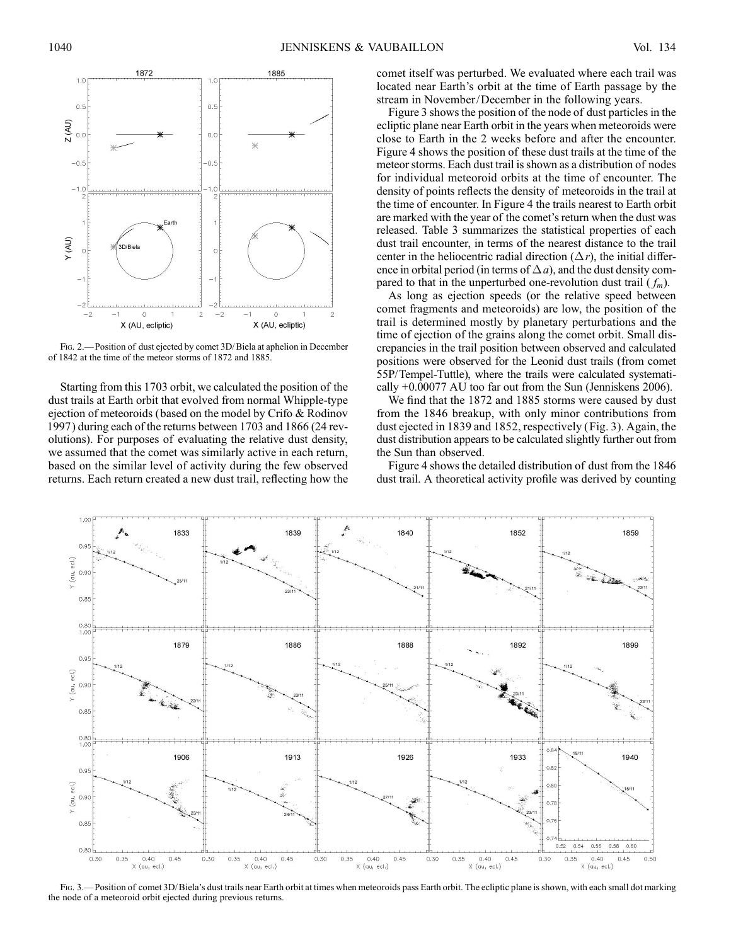

Fig. 2.— Position of dust ejected by comet 3D/Biela at aphelion in December of 1842 at the time of the meteor storms of 1872 and 1885.

Starting from this 1703 orbit, we calculated the position of the dust trails at Earth orbit that evolved from normal Whipple-type ejection of meteoroids (based on the model by Crifo & Rodinov 1997) during each of the returns between 1703 and 1866 (24 revolutions). For purposes of evaluating the relative dust density, we assumed that the comet was similarly active in each return, based on the similar level of activity during the few observed returns. Each return created a new dust trail, reflecting how the comet itself was perturbed. We evaluated where each trail was located near Earth's orbit at the time of Earth passage by the stream in November/December in the following years.

Figure 3 shows the position of the node of dust particles in the ecliptic plane near Earth orbit in the years when meteoroids were close to Earth in the 2 weeks before and after the encounter. Figure 4 shows the position of these dust trails at the time of the meteor storms. Each dust trail is shown as a distribution of nodes for individual meteoroid orbits at the time of encounter. The density of points reflects the density of meteoroids in the trail at the time of encounter. In Figure 4 the trails nearest to Earth orbit are marked with the year of the comet's return when the dust was released. Table 3 summarizes the statistical properties of each dust trail encounter, in terms of the nearest distance to the trail center in the heliocentric radial direction  $(\Delta r)$ , the initial difference in orbital period (in terms of  $\Delta a$ ), and the dust density compared to that in the unperturbed one-revolution dust trail  $(f_m)$ .

As long as ejection speeds (or the relative speed between comet fragments and meteoroids) are low, the position of the trail is determined mostly by planetary perturbations and the time of ejection of the grains along the comet orbit. Small discrepancies in the trail position between observed and calculated positions were observed for the Leonid dust trails (from comet 55P/Tempel-Tuttle), where the trails were calculated systematically +0.00077 AU too far out from the Sun (Jenniskens 2006).

We find that the 1872 and 1885 storms were caused by dust from the 1846 breakup, with only minor contributions from dust ejected in 1839 and 1852, respectively (Fig. 3). Again, the dust distribution appears to be calculated slightly further out from the Sun than observed.

Figure 4 shows the detailed distribution of dust from the 1846 dust trail. A theoretical activity profile was derived by counting



Fig. 3.—Position of comet 3D/Biela's dust trails near Earth orbit at times when meteoroids pass Earth orbit. The ecliptic plane is shown, with each small dot marking the node of a meteoroid orbit ejected during previous returns.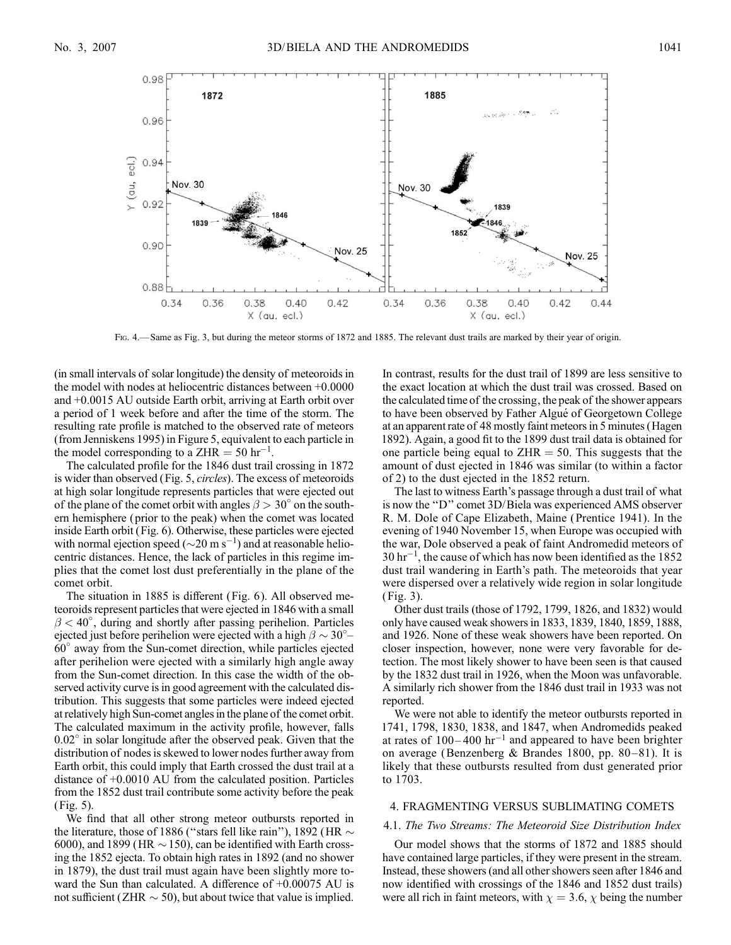

Fig. 4.— Same as Fig. 3, but during the meteor storms of 1872 and 1885. The relevant dust trails are marked by their year of origin.

(in small intervals of solar longitude) the density of meteoroids in the model with nodes at heliocentric distances between +0.0000 and +0.0015 AU outside Earth orbit, arriving at Earth orbit over a period of 1 week before and after the time of the storm. The resulting rate profile is matched to the observed rate of meteors (from Jenniskens 1995) in Figure 5, equivalent to each particle in the model corresponding to a ZHR = 50 hr<sup>-1</sup>.

The calculated profile for the 1846 dust trail crossing in 1872 is wider than observed (Fig. 5, circles). The excess of meteoroids at high solar longitude represents particles that were ejected out of the plane of the comet orbit with angles  $\beta > 30^{\circ}$  on the southern hemisphere (prior to the peak) when the comet was located inside Earth orbit (Fig. 6). Otherwise, these particles were ejected with normal ejection speed ( $\sim$ 20 m s<sup>-1</sup>) and at reasonable heliocentric distances. Hence, the lack of particles in this regime implies that the comet lost dust preferentially in the plane of the comet orbit.

The situation in 1885 is different (Fig. 6). All observed meteoroids represent particles that were ejected in 1846 with a small  $\beta$  < 40°, during and shortly after passing perihelion. Particles ejected just before perihelion were ejected with a high  $\beta \sim 30^{\circ}$ 60 away from the Sun-comet direction, while particles ejected after perihelion were ejected with a similarly high angle away from the Sun-comet direction. In this case the width of the observed activity curve is in good agreement with the calculated distribution. This suggests that some particles were indeed ejected at relatively high Sun-comet angles in the plane of the comet orbit. The calculated maximum in the activity profile, however, falls  $0.02^{\circ}$  in solar longitude after the observed peak. Given that the distribution of nodes is skewed to lower nodes further away from Earth orbit, this could imply that Earth crossed the dust trail at a distance of +0.0010 AU from the calculated position. Particles from the 1852 dust trail contribute some activity before the peak (Fig. 5).

We find that all other strong meteor outbursts reported in the literature, those of 1886 ("stars fell like rain"), 1892 (HR  $\sim$ 6000), and 1899 (HR  $\sim$  150), can be identified with Earth crossing the 1852 ejecta. To obtain high rates in 1892 (and no shower in 1879), the dust trail must again have been slightly more toward the Sun than calculated. A difference of  $+0.00075$  AU is not sufficient (ZHR  $\sim$  50), but about twice that value is implied.

In contrast, results for the dust trail of 1899 are less sensitive to the exact location at which the dust trail was crossed. Based on the calculated time of the crossing, the peak of the shower appears to have been observed by Father Algué of Georgetown College at an apparent rate of 48 mostly faint meteors in 5 minutes (Hagen 1892). Again, a good fit to the 1899 dust trail data is obtained for one particle being equal to  $ZHR = 50$ . This suggests that the amount of dust ejected in 1846 was similar (to within a factor of 2) to the dust ejected in the 1852 return.

The last to witness Earth's passage through a dust trail of what is now the ''D'' comet 3D/Biela was experienced AMS observer R. M. Dole of Cape Elizabeth, Maine (Prentice 1941). In the evening of 1940 November 15, when Europe was occupied with the war, Dole observed a peak of faint Andromedid meteors of  $30 \text{ hr}^{-1}$ , the cause of which has now been identified as the 1852 dust trail wandering in Earth's path. The meteoroids that year were dispersed over a relatively wide region in solar longitude ( Fig. 3).

Other dust trails (those of 1792, 1799, 1826, and 1832) would only have caused weak showers in 1833, 1839, 1840, 1859, 1888, and 1926. None of these weak showers have been reported. On closer inspection, however, none were very favorable for detection. The most likely shower to have been seen is that caused by the 1832 dust trail in 1926, when the Moon was unfavorable. A similarly rich shower from the 1846 dust trail in 1933 was not reported.

We were not able to identify the meteor outbursts reported in 1741, 1798, 1830, 1838, and 1847, when Andromedids peaked at rates of  $100-400$  hr<sup>-1</sup> and appeared to have been brighter on average (Benzenberg & Brandes 1800, pp. 80-81). It is likely that these outbursts resulted from dust generated prior to 1703.

# 4. FRAGMENTING VERSUS SUBLIMATING COMETS

## 4.1. The Two Streams: The Meteoroid Size Distribution Index

Our model shows that the storms of 1872 and 1885 should have contained large particles, if they were present in the stream. Instead, these showers (and all other showers seen after 1846 and now identified with crossings of the 1846 and 1852 dust trails) were all rich in faint meteors, with  $\chi = 3.6$ ,  $\chi$  being the number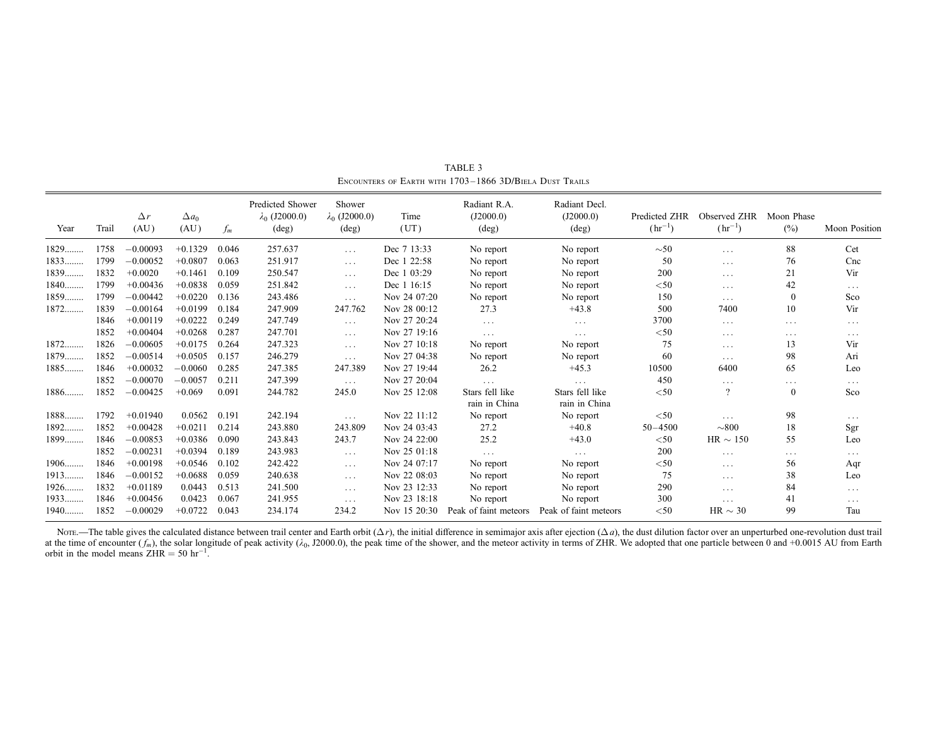| Year   | Trail | $\Delta r$<br>(AU) | $\Delta a_0$<br>(AU) | $f_m$ | Predicted Shower<br>$\lambda_0$ (J2000.0)<br>$(\text{deg})$ | Shower<br>$\lambda_0$ (J2000.0)<br>$(\text{deg})$ | Time<br>(UT) | Radiant R.A.<br>(J2000.0)<br>$(\text{deg})$ | Radiant Decl.<br>(J2000.0)<br>$(\text{deg})$ | Predicted ZHR<br>$(hr^{-1})$ | Observed ZHR<br>$(hr^{-1})$ | Moon Phase<br>(%) | <b>Moon Position</b> |
|--------|-------|--------------------|----------------------|-------|-------------------------------------------------------------|---------------------------------------------------|--------------|---------------------------------------------|----------------------------------------------|------------------------------|-----------------------------|-------------------|----------------------|
| 1829   | 1758  | $-0.00093$         | $+0.1329$            | 0.046 | 257.637                                                     | $\cdots$                                          | Dec 7 13:33  | No report                                   | No report                                    | $\sim 50$                    | $\cdots$                    | 88                | Cet                  |
| 1833   | 1799  | $-0.00052$         | $+0.0807$            | 0.063 | 251.917                                                     | $\cdots$                                          | Dec 1 22:58  | No report                                   | No report                                    | 50                           | $\cdots$                    | 76                | Cnc                  |
| 1839   | 1832  | $+0.0020$          | $+0.1461$            | 0.109 | 250.547                                                     | $\cdots$                                          | Dec 1 03:29  | No report                                   | No report                                    | 200                          | $\cdots$                    | 21                | Vir                  |
| $1840$ | 1799  | $+0.00436$         | $+0.0838$            | 0.059 | 251.842                                                     | $\cdots$                                          | Dec 1 16:15  | No report                                   | No report                                    | $<$ 50                       | $\cdots$                    | 42                | $\cdots$             |
| 1859   | 1799  | $-0.00442$         | $+0.0220$            | 0.136 | 243.486                                                     | $\ldots$                                          | Nov 24 07:20 | No report                                   | No report                                    | 150                          | $\cdots$                    | $\mathbf{0}$      | Sco                  |
| 1872   | 1839  | $-0.00164$         | $+0.0199$            | 0.184 | 247.909                                                     | 247.762                                           | Nov 28 00:12 | 27.3                                        | $+43.8$                                      | 500                          | 7400                        | 10                | Vir                  |
|        | 1846  | $+0.00119$         | $+0.0222$            | 0.249 | 247.749                                                     | $\cdots$                                          | Nov 27 20:24 | $\cdots$                                    | $\cdots$                                     | 3700                         | $\cdots$                    | $\cdots$          | $\sim$ $\sim$ $\sim$ |
|        | 1852  | $+0.00404$         | $+0.0268$            | 0.287 | 247.701                                                     | $\cdots$                                          | Nov 27 19:16 | $\cdots$                                    | $\cdots$                                     | $<$ 50                       | $\cdots$                    | $\cdots$          | $\cdots$             |
| $1872$ | 1826  | $-0.00605$         | $+0.0175$            | 0.264 | 247.323                                                     | $\cdots$                                          | Nov 27 10:18 | No report                                   | No report                                    | 75                           | $\cdots$                    | 13                | Vir                  |
| 1879   | 1852  | $-0.00514$         | $+0.0505$            | 0.157 | 246.279                                                     | $\cdots$                                          | Nov 27 04:38 | No report                                   | No report                                    | 60                           | $\cdots$                    | 98                | Ari                  |
| 1885   | 1846  | $+0.00032$         | $-0.0060$            | 0.285 | 247.385                                                     | 247.389                                           | Nov 27 19:44 | 26.2                                        | $+45.3$                                      | 10500                        | 6400                        | 65                | Leo                  |
|        | 1852  | $-0.00070$         | $-0.0057$            | 0.211 | 247.399                                                     | $\ldots$ .                                        | Nov 27 20:04 | $\cdots$                                    | $\cdots$                                     | 450                          | $\cdots$                    | $\cdots$          | $\cdots$             |
| 1886   | 1852  | $-0.00425$         | $+0.069$             | 0.091 | 244.782                                                     | 245.0                                             | Nov 25 12:08 | Stars fell like                             | Stars fell like                              | $<$ 50                       | $\overline{?}$              | $\mathbf{0}$      | Sco                  |
|        |       |                    |                      |       |                                                             |                                                   |              | rain in China                               | rain in China                                |                              |                             |                   |                      |
| 1888   | 1792  | $+0.01940$         | 0.0562               | 0.191 | 242.194                                                     | $\cdots$                                          | Nov 22 11:12 | No report                                   | No report                                    | $<$ 50                       | $\cdots$                    | 98                | $\cdots$             |
| 1892   | 1852  | $+0.00428$         | $+0.0211$            | 0.214 | 243.880                                                     | 243.809                                           | Nov 24 03:43 | 27.2                                        | $+40.8$                                      | $50 - 4500$                  | $\sim 800$                  | 18                | Sgr                  |
| 1899   | 1846  | $-0.00853$         | $+0.0386$            | 0.090 | 243.843                                                     | 243.7                                             | Nov 24 22:00 | 25.2                                        | $+43.0$                                      | $<$ 50                       | $HR \sim 150$               | 55                | Leo                  |
|        | 1852  | $-0.00231$         | $+0.0394$            | 0.189 | 243.983                                                     | $\cdots$                                          | Nov 25 01:18 | $\cdots$                                    | $\cdots$                                     | 200                          | $\cdots$                    | $\cdots$          | $\cdots$             |
| $1906$ | 1846  | $+0.00198$         | $+0.0546$            | 0.102 | 242.422                                                     | $\ldots$                                          | Nov 24 07:17 | No report                                   | No report                                    | $<$ 50                       | $\cdots$                    | 56                | Aqr                  |
| $1913$ | 1846  | $-0.00152$         | $+0.0688$            | 0.059 | 240.638                                                     | $\cdots$                                          | Nov 22 08:03 | No report                                   | No report                                    | 75                           | $\cdots$                    | 38                | Leo                  |
| $1926$ | 1832  | $+0.01189$         | 0.0443               | 0.513 | 241.500                                                     | $\cdots$                                          | Nov 23 12:33 | No report                                   | No report                                    | 290                          | $\cdots$                    | 84                | $\cdots$             |
| 1933   | 1846  | $+0.00456$         | 0.0423               | 0.067 | 241.955                                                     | $\cdots$                                          | Nov 23 18:18 | No report                                   | No report                                    | 300                          | $\cdots$                    | 41                | $\cdots$             |
| $1940$ | 1852  | $-0.00029$         | $+0.0722$            | 0.043 | 234.174                                                     | 234.2                                             | Nov 15 20:30 | Peak of faint meteors                       | Peak of faint meteors                        | $<$ 50                       | HR $\sim$ 30                | 99                | Tau                  |

TABLE 3 Encounters of Earth with 1703–1866 3D/Biela Dust Trails

Nore.—The table gives the calculated distance between trail center and Earth orbit  $(\Delta r)$ , the initial difference in semimajor axis after ejection  $(\Delta a)$ , the dust dilution factor over an unperturbed one-revolution dust t at the time of encounter  $(f_m)$ , the solar longitude of peak activity ( $\lambda_0$ , J2000.0), the peak time of the shower, and the meteor activity in terms of ZHR. We adopted that one particle between 0 and +0.0015 AU from Eart orbit in the model means  $ZHR = 50$  hr<sup>-1</sup>.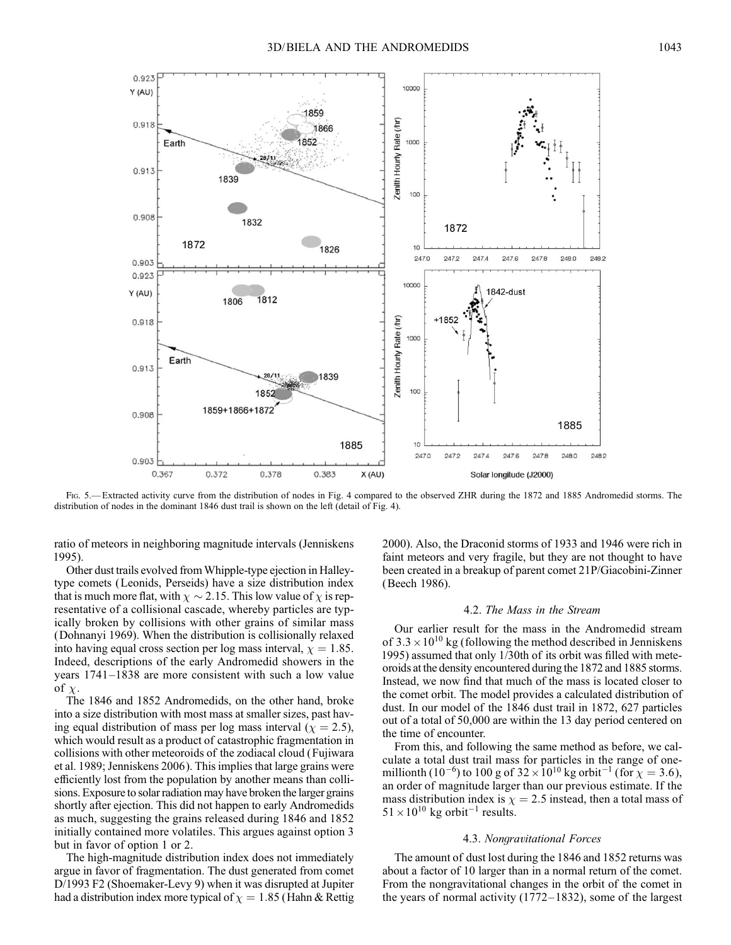

Fig. 5.— Extracted activity curve from the distribution of nodes in Fig. 4 compared to the observed ZHR during the 1872 and 1885 Andromedid storms. The distribution of nodes in the dominant 1846 dust trail is shown on the left (detail of Fig. 4).

ratio of meteors in neighboring magnitude intervals (Jenniskens 1995).

Other dust trails evolved from Whipple-type ejection in Halleytype comets (Leonids, Perseids) have a size distribution index that is much more flat, with  $\chi \sim$  2.15. This low value of  $\chi$  is representative of a collisional cascade, whereby particles are typically broken by collisions with other grains of similar mass (Dohnanyi 1969). When the distribution is collisionally relaxed into having equal cross section per log mass interval,  $\chi = 1.85$ . Indeed, descriptions of the early Andromedid showers in the years  $1741-1838$  are more consistent with such a low value of  $\chi$ .

The 1846 and 1852 Andromedids, on the other hand, broke into a size distribution with most mass at smaller sizes, past having equal distribution of mass per log mass interval ( $\chi = 2.5$ ), which would result as a product of catastrophic fragmentation in collisions with other meteoroids of the zodiacal cloud (Fujiwara et al. 1989; Jenniskens 2006). This implies that large grains were efficiently lost from the population by another means than collisions. Exposure to solar radiation may have broken the larger grains shortly after ejection. This did not happen to early Andromedids as much, suggesting the grains released during 1846 and 1852 initially contained more volatiles. This argues against option 3 but in favor of option 1 or 2.

The high-magnitude distribution index does not immediately argue in favor of fragmentation. The dust generated from comet D/1993 F2 (Shoemaker-Levy 9) when it was disrupted at Jupiter had a distribution index more typical of  $\chi = 1.85$  (Hahn & Rettig

2000). Also, the Draconid storms of 1933 and 1946 were rich in faint meteors and very fragile, but they are not thought to have been created in a breakup of parent comet 21P/Giacobini-Zinner (Beech 1986).

#### 4.2. The Mass in the Stream

Our earlier result for the mass in the Andromedid stream of  $3.3 \times 10^{10}$  kg (following the method described in Jenniskens 1995) assumed that only 1/30th of its orbit was filled with meteoroids at the density encountered during the 1872 and 1885 storms. Instead, we now find that much of the mass is located closer to the comet orbit. The model provides a calculated distribution of dust. In our model of the 1846 dust trail in 1872, 627 particles out of a total of 50,000 are within the 13 day period centered on the time of encounter.

From this, and following the same method as before, we calculate a total dust trail mass for particles in the range of onemillionth (10<sup>-6</sup>) to 100 g of 32  $\times 10^{10}$  kg orbit<sup>-1</sup> (for  $\chi =$  3.6), an order of magnitude larger than our previous estimate. If the mass distribution index is  $\chi = 2.5$  instead, then a total mass of  $51 \times 10^{10}$  kg orbit<sup>-1</sup> results.

#### 4.3. Nongravitational Forces

The amount of dust lost during the 1846 and 1852 returns was about a factor of 10 larger than in a normal return of the comet. From the nongravitational changes in the orbit of the comet in the years of normal activity  $(1772-1832)$ , some of the largest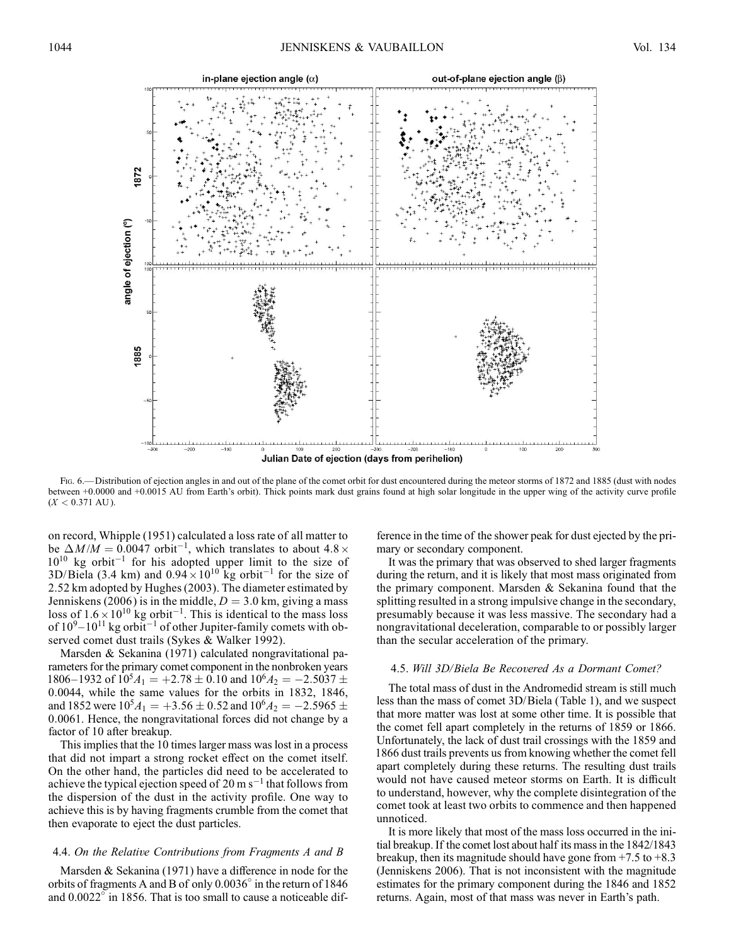

Fig. 6.— Distribution of ejection angles in and out of the plane of the comet orbit for dust encountered during the meteor storms of 1872 and 1885 (dust with nodes between +0.0000 and +0.0015 AU from Earth's orbit). Thick points mark dust grains found at high solar longitude in the upper wing of the activity curve profile  $(X < 0.371$  AU).

on record, Whipple (1951) calculated a loss rate of all matter to be  $\Delta M / M = 0.0047$  orbit<sup>-1</sup>, which translates to about 4.8  $\times$  $10^{10}$  kg orbit<sup>-1</sup> for his adopted upper limit to the size of 3D/Biela (3.4 km) and  $0.94 \times 10^{10}$  kg orbit<sup>-1</sup> for the size of 2.52 km adopted by Hughes (2003). The diameter estimated by Jenniskens (2006) is in the middle,  $D = 3.0$  km, giving a mass loss of  $1.6 \times 10^{10}$  kg orbit<sup>-1</sup>. This is identical to the mass loss of  $10^9 - 10^{11}$  kg orbit<sup>-1</sup> of other Jupiter-family comets with observed comet dust trails (Sykes & Walker 1992).

Marsden & Sekanina (1971) calculated nongravitational parameters for the primary comet component in the nonbroken years 1806–1932 of  $10^5A_1 = +2.78 \pm 0.10$  and  $10^6A_2 = -2.5037 \pm 0.10$ 0:0044, while the same values for the orbits in 1832, 1846, and 1852 were  $10^5 A_1 = +3.56 \pm 0.52$  and  $10^6 A_2 = -2.5965 \pm 0.52$ 0:0061. Hence, the nongravitational forces did not change by a factor of 10 after breakup.

This implies that the 10 times larger mass was lost in a process that did not impart a strong rocket effect on the comet itself. On the other hand, the particles did need to be accelerated to achieve the typical ejection speed of 20 m s<sup>-1</sup> that follows from the dispersion of the dust in the activity profile. One way to achieve this is by having fragments crumble from the comet that then evaporate to eject the dust particles.

#### 4.4. On the Relative Contributions from Fragments A and B

Marsden & Sekanina (1971) have a difference in node for the orbits of fragments A and B of only  $0.0036^{\circ}$  in the return of 1846 and  $0.0022^{\circ}$  in 1856. That is too small to cause a noticeable dif-

ference in the time of the shower peak for dust ejected by the primary or secondary component.

It was the primary that was observed to shed larger fragments during the return, and it is likely that most mass originated from the primary component. Marsden & Sekanina found that the splitting resulted in a strong impulsive change in the secondary, presumably because it was less massive. The secondary had a nongravitational deceleration, comparable to or possibly larger than the secular acceleration of the primary.

#### 4.5. Will 3D/Biela Be Recovered As a Dormant Comet?

The total mass of dust in the Andromedid stream is still much less than the mass of comet 3D/Biela (Table 1), and we suspect that more matter was lost at some other time. It is possible that the comet fell apart completely in the returns of 1859 or 1866. Unfortunately, the lack of dust trail crossings with the 1859 and 1866 dust trails prevents us from knowing whether the comet fell apart completely during these returns. The resulting dust trails would not have caused meteor storms on Earth. It is difficult to understand, however, why the complete disintegration of the comet took at least two orbits to commence and then happened unnoticed.

It is more likely that most of the mass loss occurred in the initial breakup. If the comet lost about half its mass in the 1842/1843 breakup, then its magnitude should have gone from  $+7.5$  to  $+8.3$ (Jenniskens 2006). That is not inconsistent with the magnitude estimates for the primary component during the 1846 and 1852 returns. Again, most of that mass was never in Earth's path.